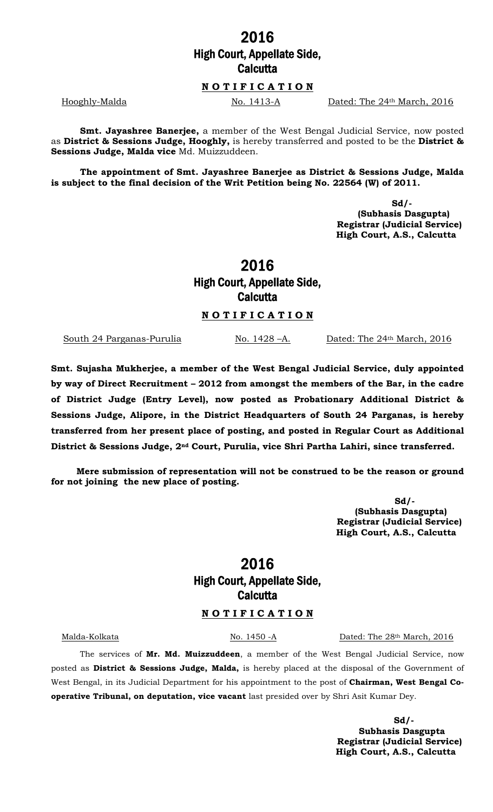### 2016 High Court, Appellate Side, **Calcutta**

#### N O T I F I C A T I O N

Hooghly-Malda No. 1413-A Dated: The 24th March, 2016

Smt. Jayashree Banerjee, a member of the West Bengal Judicial Service, now posted as District & Sessions Judge, Hooghly, is hereby transferred and posted to be the District & Sessions Judge, Malda vice Md. Muizzuddeen.

The appointment of Smt. Jayashree Banerjee as District & Sessions Judge, Malda is subject to the final decision of the Writ Petition being No. 22564 (W) of 2011.

> Sd/- (Subhasis Dasgupta) Registrar (Judicial Service) High Court, A.S., Calcutta

# 2016 High Court, Appellate Side, **Calcutta**

#### NOTIFICATION

South 24 Parganas-Purulia No. 1428 – A. Dated: The 24<sup>th</sup> March, 2016

Smt. Sujasha Mukherjee, a member of the West Bengal Judicial Service, duly appointed by way of Direct Recruitment – 2012 from amongst the members of the Bar, in the cadre of District Judge (Entry Level), now posted as Probationary Additional District & Sessions Judge, Alipore, in the District Headquarters of South 24 Parganas, is hereby transferred from her present place of posting, and posted in Regular Court as Additional District & Sessions Judge, 2<sup>nd</sup> Court, Purulia, vice Shri Partha Lahiri, since transferred.

Mere submission of representation will not be construed to be the reason or ground for not joining the new place of posting.

> Sd/- (Subhasis Dasgupta) Registrar (Judicial Service) High Court, A.S., Calcutta

# 2016 High Court, Appellate Side, **Calcutta**

#### N O T I F I C A T I O N

Malda-Kolkata No. 1450 -A Dated: The 28th March, 2016

The services of Mr. Md. Muizzuddeen, a member of the West Bengal Judicial Service, now posted as District & Sessions Judge, Malda, is hereby placed at the disposal of the Government of West Bengal, in its Judicial Department for his appointment to the post of Chairman, West Bengal Cooperative Tribunal, on deputation, vice vacant last presided over by Shri Asit Kumar Dey.

> Sd/- Subhasis Dasgupta Registrar (Judicial Service) High Court, A.S., Calcutta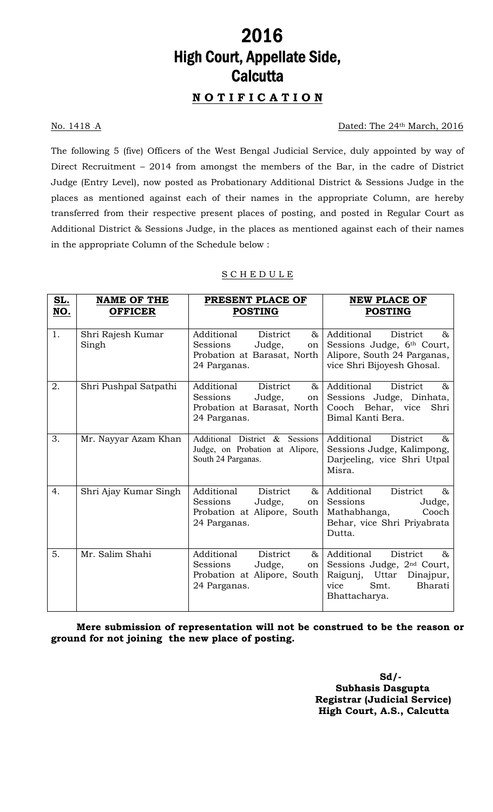# <u>2016</u> High Court, Appellate Side, **Calcutta**

## N O T I F I C A T I O N

### No. 1418 A Dated: The 24<sup>th</sup> March, 2016

The following 5 (five) Officers of the West Bengal Judicial Service, duly appointed by way of Direct Recruitment – 2014 from amongst the members of the Bar, in the cadre of District Judge (Entry Level), now posted as Probationary Additional District & Sessions Judge in the places as mentioned against each of their names in the appropriate Column, are hereby transferred from their respective present places of posting, and posted in Regular Court as Additional District & Sessions Judge, in the places as mentioned against each of their names in the appropriate Column of the Schedule below :

### S C H E D U L E

| <u>SL.</u> | <b>NAME OF THE</b>         | PRESENT PLACE OF                                                                                                     | <b>NEW PLACE OF</b>                                                                                                                              |
|------------|----------------------------|----------------------------------------------------------------------------------------------------------------------|--------------------------------------------------------------------------------------------------------------------------------------------------|
| NO.        | <b>OFFICER</b>             | <b>POSTING</b>                                                                                                       | <b>POSTING</b>                                                                                                                                   |
| 1.         | Shri Rajesh Kumar<br>Singh | Additional<br>$\&$<br>District<br>Sessions<br>Judge,<br>on<br>Probation at Barasat, North<br>24 Parganas.            | Additional<br>&<br>District<br>Sessions Judge, 6th Court,<br>Alipore, South 24 Parganas,<br>vice Shri Bijoyesh Ghosal.                           |
| 2.         | Shri Pushpal Satpathi      | Additional<br>District<br>$\&$<br>Sessions<br>Judge,<br>on<br>Probation at Barasat, North<br>24 Parganas.            | Additional<br>District<br>&<br>Sessions Judge, Dinhata,<br>Cooch Behar, vice<br>Shri<br>Bimal Kanti Bera.                                        |
| 3.         | Mr. Nayyar Azam Khan       | Additional District & Sessions<br>Judge, on Probation at Alipore,<br>South 24 Parganas.                              | Additional<br>District<br>&<br>Sessions Judge, Kalimpong,<br>Darjeeling, vice Shri Utpal<br>Misra.                                               |
| 4.         | Shri Ajay Kumar Singh      | Additional<br>District<br>&<br>Sessions<br>Judge,<br>on  <br>Probation at Alipore, South<br>24 Parganas.             | Additional<br>District<br>$\&$<br>Sessions<br>Judge,<br>Mathabhanga,<br>Cooch<br>Behar, vice Shri Priyabrata<br>Dutta.                           |
| 5.         | Mr. Salim Shahi            | <b>District</b><br>Additional<br>$\delta$<br>Sessions<br>Judge,<br>on<br>Probation at Alipore, South<br>24 Parganas. | Additional<br>District<br>&<br>Sessions Judge, 2 <sup>nd</sup> Court,<br>Raigunj, Uttar<br>Dinajpur,<br>Smt.<br>Bharati<br>vice<br>Bhattacharya. |

Mere submission of representation will not be construed to be the reason or ground for not joining the new place of posting.

> Sd/- Subhasis Dasgupta Registrar (Judicial Service) High Court, A.S., Calcutta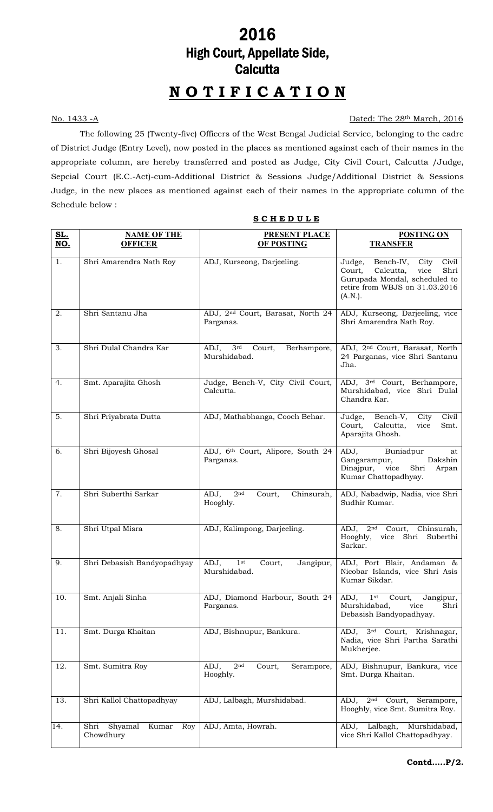## 2016 High Court, Appellate Side, **Calcutta**

## N O T I F I C A T I O N

### No. 1433 -A Dated: The 28th March, 2016

The following 25 (Twenty-five) Officers of the West Bengal Judicial Service, belonging to the cadre of District Judge (Entry Level), now posted in the places as mentioned against each of their names in the appropriate column, are hereby transferred and posted as Judge, City Civil Court, Calcutta /Judge, Sepcial Court (E.C.-Act)-cum-Additional District & Sessions Judge/Additional District & Sessions Judge, in the new places as mentioned against each of their names in the appropriate column of the Schedule below :

| <u>SL.</u><br><b>NO.</b> | <b>NAME OF THE</b><br><b>OFFICER</b>         | <b>PRESENT PLACE</b><br>OF POSTING                               | <b>POSTING ON</b><br><b>TRANSFER</b>                                                                                                                         |
|--------------------------|----------------------------------------------|------------------------------------------------------------------|--------------------------------------------------------------------------------------------------------------------------------------------------------------|
| 1.                       | Shri Amarendra Nath Roy                      | ADJ, Kurseong, Darjeeling.                                       | Bench-IV,<br>Judge,<br>City<br>Civil<br>Calcutta,<br>vice<br>Shri<br>Court,<br>Gurupada Mondal, scheduled to<br>retire from WBJS on 31.03.2016<br>$(A.N.)$ . |
| 2.                       | Shri Santanu Jha                             | ADJ, 2 <sup>nd</sup> Court, Barasat, North 24<br>Parganas.       | ADJ, Kurseong, Darjeeling, vice<br>Shri Amarendra Nath Roy.                                                                                                  |
| 3.                       | Shri Dulal Chandra Kar                       | ADJ,<br>3 <sup>rd</sup><br>Court,<br>Berhampore,<br>Murshidabad. | ADJ, 2 <sup>nd</sup> Court, Barasat, North<br>24 Parganas, vice Shri Santanu<br>Jha.                                                                         |
| 4.                       | Smt. Aparajita Ghosh                         | Judge, Bench-V, City Civil Court,<br>Calcutta.                   | ADJ, 3rd Court, Berhampore,<br>Murshidabad, vice Shri Dulal<br>Chandra Kar.                                                                                  |
| 5.                       | Shri Priyabrata Dutta                        | ADJ, Mathabhanga, Cooch Behar.                                   | Bench-V,<br>Judge,<br>City<br>Civil<br>Court,<br>Calcutta,<br>vice<br>Smt.<br>Aparajita Ghosh.                                                               |
| 6.                       | Shri Bijoyesh Ghosal                         | ADJ, 6th Court, Alipore, South 24<br>Parganas.                   | Buniadpur<br>ADJ,<br>at<br>Gangarampur,<br>Dakshin<br>Shri<br>Dinajpur,<br>vice<br>Arpan<br>Kumar Chattopadhyay.                                             |
| 7.                       | Shri Suberthi Sarkar                         | 2 <sup>nd</sup><br>Chinsurah,<br>ADJ,<br>Court,<br>Hooghly.      | ADJ, Nabadwip, Nadia, vice Shri<br>Sudhir Kumar.                                                                                                             |
| 8.                       | Shri Utpal Misra                             | ADJ, Kalimpong, Darjeeling.                                      | ADJ, 2 <sup>nd</sup> Court,<br>Chinsurah,<br>Hooghly,<br>Shri Suberthi<br>vice<br>Sarkar.                                                                    |
| 9.                       | Shri Debasish Bandyopadhyay                  | ADJ,<br>1st<br>Court,<br>Jangipur,<br>Murshidabad.               | ADJ, Port Blair, Andaman &<br>Nicobar Islands, vice Shri Asis<br>Kumar Sikdar.                                                                               |
| 10.                      | Smt. Anjali Sinha                            | ADJ, Diamond Harbour, South 24<br>Parganas.                      | Court,<br>Jangipur,<br>$ADJ,$ 1st<br>Murshidabad,<br>vice<br>Shri<br>Debasish Bandyopadhyay.                                                                 |
| 11.                      | Smt. Durga Khaitan                           | ADJ, Bishnupur, Bankura.                                         | $\overline{3^{rd}}$ Court, Krishnagar,<br>ADJ,<br>Nadia, vice Shri Partha Sarathi<br>Mukherjee.                                                              |
| 12.                      | Smt. Sumitra Roy                             | $2^{\rm nd}$<br>ADJ,<br>Court,<br>Serampore,<br>Hooghly.         | ADJ, Bishnupur, Bankura, vice<br>Smt. Durga Khaitan.                                                                                                         |
| 13.                      | Shri Kallol Chattopadhyay                    | ADJ, Lalbagh, Murshidabad.                                       | $2nd$ Court,<br>Serampore,<br>ADJ,<br>Hooghly, vice Smt. Sumitra Roy.                                                                                        |
| 14.                      | Shyamal<br>Shri<br>Kumar<br>Roy<br>Chowdhury | ADJ, Amta, Howrah.                                               | ADJ, Lalbagh,<br>Murshidabad,<br>vice Shri Kallol Chattopadhyay.                                                                                             |

### **SCHEDULE**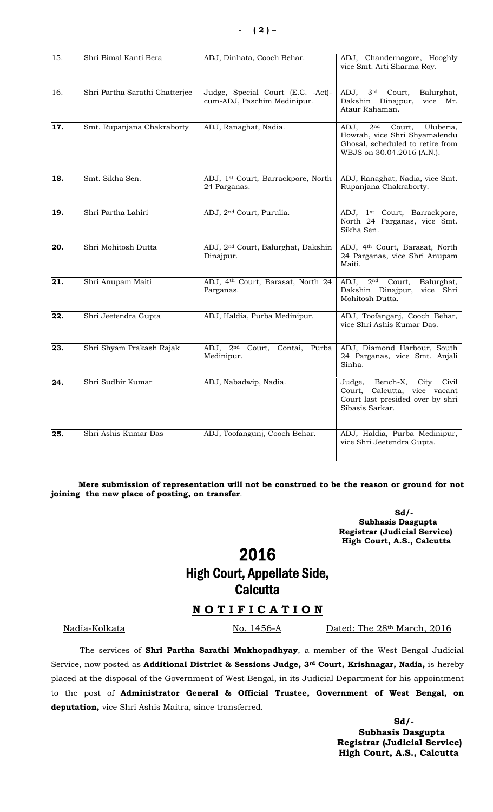| 15.               | Shri Bimal Kanti Bera          | ADJ, Dinhata, Cooch Behar.                                        | ADJ, Chandernagore, Hooghly<br>vice Smt. Arti Sharma Roy.                                                                                         |
|-------------------|--------------------------------|-------------------------------------------------------------------|---------------------------------------------------------------------------------------------------------------------------------------------------|
| 16.               | Shri Partha Sarathi Chatterjee | Judge, Special Court (E.C. - Act)-<br>cum-ADJ, Paschim Medinipur. | 3 <sup>rd</sup><br>Court,<br>Balurghat,<br>ADJ,<br>Dakshin Dinajpur,<br>vice Mr.<br>Ataur Rahaman.                                                |
| $\overline{1}7.$  | Smt. Rupanjana Chakraborty     | ADJ, Ranaghat, Nadia.                                             | Court,<br>2 <sup>nd</sup><br>Uluberia,<br>ADJ,<br>Howrah, vice Shri Shyamalendu<br>Ghosal, scheduled to retire from<br>WBJS on 30.04.2016 (A.N.). |
| $\overline{18}$ . | Smt. Sikha Sen.                | ADJ, 1st Court, Barrackpore, North<br>24 Parganas.                | ADJ, Ranaghat, Nadia, vice Smt.<br>Rupanjana Chakraborty.                                                                                         |
| 19.               | Shri Partha Lahiri             | ADJ, 2 <sup>nd</sup> Court, Purulia.                              | ADJ, 1 <sup>st</sup> Court, Barrackpore,<br>North 24 Parganas, vice Smt.<br>Sikha Sen.                                                            |
| $\overline{20.}$  | Shri Mohitosh Dutta            | ADJ, 2 <sup>nd</sup> Court, Balurghat, Dakshin<br>Dinajpur.       | ADJ, 4th Court, Barasat, North<br>24 Parganas, vice Shri Anupam<br>Maiti.                                                                         |
| $\overline{21}$ . | Shri Anupam Maiti              | ADJ, 4th Court, Barasat, North 24<br>Parganas.                    | ADJ, 2 <sup>nd</sup> Court,<br>Balurghat,<br>Dakshin Dinajpur,<br>vice Shri<br>Mohitosh Dutta.                                                    |
| $\overline{22}$ . | Shri Jeetendra Gupta           | ADJ, Haldia, Purba Medinipur.                                     | ADJ, Toofanganj, Cooch Behar,<br>vice Shri Ashis Kumar Das.                                                                                       |
| 23.               | Shri Shyam Prakash Rajak       | ADJ, 2 <sup>nd</sup> Court, Contai, Purba<br>Medinipur.           | ADJ, Diamond Harbour, South<br>24 Parganas, vice Smt. Anjali<br>Sinha.                                                                            |
| 24.               | Shri Sudhir Kumar              | ADJ, Nabadwip, Nadia.                                             | Bench-X,<br>City<br>Judge,<br>Civil<br>Court, Calcutta, vice vacant<br>Court last presided over by shri<br>Sibasis Sarkar.                        |
| 25.               | Shri Ashis Kumar Das           | ADJ, Toofangunj, Cooch Behar.                                     | ADJ, Haldia, Purba Medinipur,<br>vice Shri Jeetendra Gupta.                                                                                       |

Mere submission of representation will not be construed to be the reason or ground for not joining the new place of posting, on transfer.

> $Sd/-\frac{1}{2}$  Subhasis Dasgupta Registrar (Judicial Service) High Court, A.S., Calcutta

## 2016 High Court, Appellate Side, **Calcutta**

### NOTIFICATION

Nadia-Kolkata No. 1456-A Dated: The 28<sup>th</sup> March, 2016

The services of Shri Partha Sarathi Mukhopadhyay, a member of the West Bengal Judicial Service, now posted as Additional District & Sessions Judge, 3rd Court, Krishnagar, Nadia, is hereby placed at the disposal of the Government of West Bengal, in its Judicial Department for his appointment to the post of Administrator General & Official Trustee, Government of West Bengal, on deputation, vice Shri Ashis Maitra, since transferred.

> Sd/- Subhasis Dasgupta Registrar (Judicial Service) High Court, A.S., Calcutta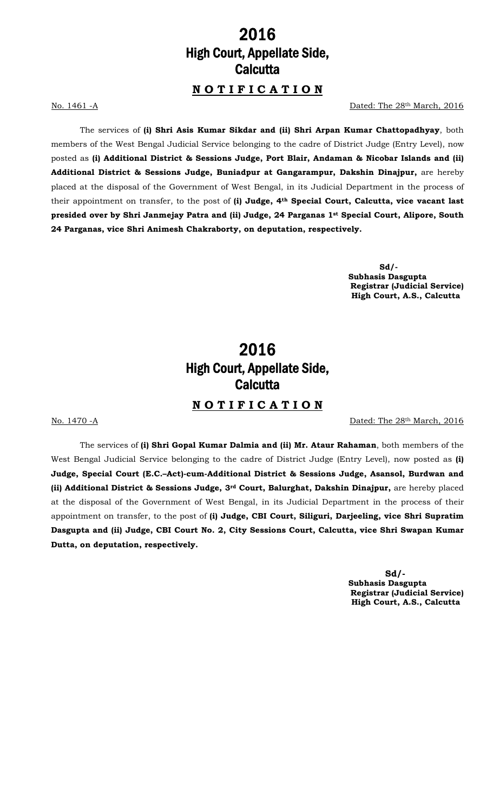## 2016 High Court, Appellate Side, **Calcutta**

### N O T I F I C A T I O N

No. 1461 -A Dated: The 28th March, 2016

The services of (i) Shri Asis Kumar Sikdar and (ii) Shri Arpan Kumar Chattopadhyay, both members of the West Bengal Judicial Service belonging to the cadre of District Judge (Entry Level), now posted as (i) Additional District & Sessions Judge, Port Blair, Andaman & Nicobar Islands and (ii) Additional District & Sessions Judge, Buniadpur at Gangarampur, Dakshin Dinajpur, are hereby placed at the disposal of the Government of West Bengal, in its Judicial Department in the process of their appointment on transfer, to the post of (i) Judge, 4<sup>th</sup> Special Court, Calcutta, vice vacant last presided over by Shri Janmejay Patra and (ii) Judge, 24 Parganas 1st Special Court, Alipore, South 24 Parganas, vice Shri Animesh Chakraborty, on deputation, respectively.

 Sd/- Subhasis Dasgupta Registrar (Judicial Service) High Court, A.S., Calcutta

## 2016 High Court, Appellate Side, **Calcutta**

### N O T I F I C A T I O N

No. 1470 -A Dated: The 28th March, 2016

The services of (i) Shri Gopal Kumar Dalmia and (ii) Mr. Ataur Rahaman, both members of the West Bengal Judicial Service belonging to the cadre of District Judge (Entry Level), now posted as (i) Judge, Special Court (E.C.–Act)-cum-Additional District & Sessions Judge, Asansol, Burdwan and (ii) Additional District & Sessions Judge, 3rd Court, Balurghat, Dakshin Dinajpur, are hereby placed at the disposal of the Government of West Bengal, in its Judicial Department in the process of their appointment on transfer, to the post of (i) Judge, CBI Court, Siliguri, Darjeeling, vice Shri Supratim Dasgupta and (ii) Judge, CBI Court No. 2, City Sessions Court, Calcutta, vice Shri Swapan Kumar Dutta, on deputation, respectively.

 $Sd/-\frac{1}{2}$  Subhasis Dasgupta Registrar (Judicial Service) High Court, A.S., Calcutta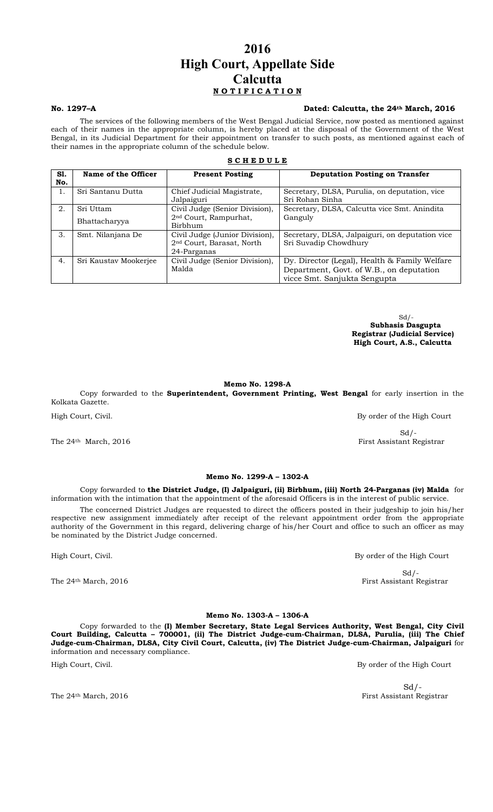### 2016 High Court, Appellate Side **Calcutta** NOTIFICATION

#### No. 1297–A Dated: Calcutta, the 24th March, 2016

The services of the following members of the West Bengal Judicial Service, now posted as mentioned against each of their names in the appropriate column, is hereby placed at the disposal of the Government of the West Bengal, in its Judicial Department for their appointment on transfer to such posts, as mentioned against each of their names in the appropriate column of the schedule below.

#### **SCHEDULE**

| S1.<br>No. | Name of the Officer        | <b>Present Posting</b>                                                                 | <b>Deputation Posting on Transfer</b>                                                                                     |
|------------|----------------------------|----------------------------------------------------------------------------------------|---------------------------------------------------------------------------------------------------------------------------|
| 1.         | Sri Santanu Dutta          | Chief Judicial Magistrate,<br>Jalpaiguri                                               | Secretary, DLSA, Purulia, on deputation, vice<br>Sri Rohan Sinha                                                          |
| 2.         | Sri Uttam<br>Bhattacharyya | Civil Judge (Senior Division),<br>2 <sup>nd</sup> Court, Rampurhat,<br>Birbhum         | Secretary, DLSA, Calcutta vice Smt. Anindita<br>Ganguly                                                                   |
| 3.         | Smt. Nilanjana De          | Civil Judge (Junior Division),<br>2 <sup>nd</sup> Court, Barasat, North<br>24-Parganas | Secretary, DLSA, Jalpaiguri, on deputation vice<br>Sri Suvadip Chowdhury                                                  |
| 4.         | Sri Kaustav Mookerjee      | Civil Judge (Senior Division),<br>Malda                                                | Dy. Director (Legal), Health & Family Welfare<br>Department, Govt. of W.B., on deputation<br>vicce Smt. Sanjukta Sengupta |

Sd/- Subhasis Dasgupta Registrar (Judicial Service) High Court, A.S., Calcutta

Memo No. 1298-A

Copy forwarded to the Superintendent, Government Printing, West Bengal for early insertion in the Kolkata Gazette.

High Court, Civil. By order of the High Court

#### Memo No. 1299-A – 1302-A

Copy forwarded to the District Judge, (I) Jalpaiguri, (ii) Birbhum, (iii) North 24-Parganas (iv) Malda for information with the intimation that the appointment of the aforesaid Officers is in the interest of public service.

The concerned District Judges are requested to direct the officers posted in their judgeship to join his/her respective new assignment immediately after receipt of the relevant appointment order from the appropriate authority of the Government in this regard, delivering charge of his/her Court and office to such an officer as may be nominated by the District Judge concerned.

The 24<sup>th</sup> March, 2016 **First Assistant Registrar** 

Memo No. 1303-A – 1306-A Copy forwarded to the (I) Member Secretary, State Legal Services Authority, West Bengal, City Civil Court Building, Calcutta – 700001, (ii) The District Judge-cum-Chairman, DLSA, Purulia, (iii) The Chief Judge-cum-Chairman, DLSA, City Civil Court, Calcutta, (iv) The District Judge-cum-Chairman, Jalpaiguri for information and necessary compliance.

High Court, Civil. By order of the High Court

 $Sd$  /-The 24<sup>th</sup> March, 2016 **First Assistant Registrar** First Assistant Registrar

 $Sd$  /-

 $Sd$  /-The 24<sup>th</sup> March, 2016 **First Assistant Registrar** First Assistant Registrar

High Court, Civil. **By order of the High Court**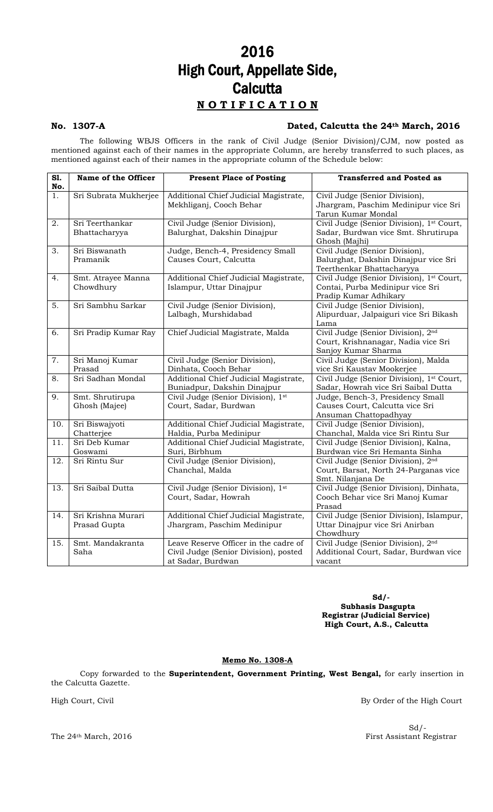## 2016 High Court, Appellate Side, **Calcutta** N O T I F I C A T I O N

### No. 1307-A Dated, Calcutta the 24th March, 2016

The following WBJS Officers in the rank of Civil Judge (Senior Division)/CJM, now posted as mentioned against each of their names in the appropriate Column, are hereby transferred to such places, as mentioned against each of their names in the appropriate column of the Schedule below:

| $\overline{\mathbf{S1}}$ .<br>No. | Name of the Officer                | <b>Present Place of Posting</b>                                                                     | <b>Transferred and Posted as</b>                                                                              |
|-----------------------------------|------------------------------------|-----------------------------------------------------------------------------------------------------|---------------------------------------------------------------------------------------------------------------|
| 1.                                | Sri Subrata Mukherjee              | Additional Chief Judicial Magistrate,<br>Mekhliganj, Cooch Behar                                    | Civil Judge (Senior Division),<br>Jhargram, Paschim Medinipur vice Sri<br>Tarun Kumar Mondal                  |
| 2.                                | Sri Teerthankar<br>Bhattacharyya   | Civil Judge (Senior Division),<br>Balurghat, Dakshin Dinajpur                                       | Civil Judge (Senior Division), 1 <sup>st</sup> Court,<br>Sadar, Burdwan vice Smt. Shrutirupa<br>Ghosh (Majhi) |
| $\overline{3}$ .                  | Sri Biswanath<br>Pramanik          | Judge, Bench-4, Presidency Small<br>Causes Court, Calcutta                                          | Civil Judge (Senior Division),<br>Balurghat, Dakshin Dinajpur vice Sri<br>Teerthenkar Bhattacharyya           |
| 4.                                | Smt. Atrayee Manna<br>Chowdhury    | Additional Chief Judicial Magistrate,<br>Islampur, Uttar Dinajpur                                   | Civil Judge (Senior Division), 1st Court,<br>Contai, Purba Medinipur vice Sri<br>Pradip Kumar Adhikary        |
| 5.                                | Sri Sambhu Sarkar                  | Civil Judge (Senior Division),<br>Lalbagh, Murshidabad                                              | Civil Judge (Senior Division),<br>Alipurduar, Jalpaiguri vice Sri Bikash<br>Lama                              |
| $\overline{6}$ .                  | Sri Pradip Kumar Ray               | Chief Judicial Magistrate, Malda                                                                    | Civil Judge (Senior Division), 2 <sup>nd</sup><br>Court, Krishnanagar, Nadia vice Sri<br>Sanjoy Kumar Sharma  |
| 7.                                | Sri Manoj Kumar<br>Prasad          | Civil Judge (Senior Division),<br>Dinhata, Cooch Behar                                              | Civil Judge (Senior Division), Malda<br>vice Sri Kaustav Mookerjee                                            |
| 8.                                | Sri Sadhan Mondal                  | Additional Chief Judicial Magistrate,<br>Buniadpur, Dakshin Dinajpur                                | Civil Judge (Senior Division), 1 <sup>st</sup> Court,<br>Sadar, Howrah vice Sri Saibal Dutta                  |
| 9.                                | Smt. Shrutirupa<br>Ghosh (Majee)   | Civil Judge (Senior Division), 1st<br>Court, Sadar, Burdwan                                         | Judge, Bench-3, Presidency Small<br>Causes Court, Calcutta vice Sri<br>Ansuman Chattopadhyay                  |
| 10.                               | Sri Biswajyoti<br>Chatterjee       | Additional Chief Judicial Magistrate,<br>Haldia, Purba Medinipur                                    | Civil Judge (Senior Division),<br>Chanchal, Malda vice Sri Rintu Sur                                          |
| 11.                               | Sri Deb Kumar<br>Goswami           | Additional Chief Judicial Magistrate,<br>Suri, Birbhum                                              | Civil Judge (Senior Division), Kalna,<br>Burdwan vice Sri Hemanta Sinha                                       |
| $\overline{12}$ .                 | Sri Rintu Sur                      | Civil Judge (Senior Division),<br>Chanchal, Malda                                                   | Civil Judge (Senior Division), 2 <sup>nd</sup><br>Court, Barsat, North 24-Parganas vice<br>Smt. Nilanjana De  |
| 13.                               | Sri Saibal Dutta                   | Civil Judge (Senior Division), 1st<br>Court, Sadar, Howrah                                          | Civil Judge (Senior Division), Dinhata,<br>Cooch Behar vice Sri Manoj Kumar<br>Prasad                         |
| 14.                               | Sri Krishna Murari<br>Prasad Gupta | Additional Chief Judicial Magistrate,<br>Jhargram, Paschim Medinipur                                | Civil Judge (Senior Division), Islampur,<br>Uttar Dinajpur vice Sri Anirban<br>Chowdhury                      |
| 15.                               | Smt. Mandakranta<br>Saha           | Leave Reserve Officer in the cadre of<br>Civil Judge (Senior Division), posted<br>at Sadar, Burdwan | Civil Judge (Senior Division), 2nd<br>Additional Court, Sadar, Burdwan vice<br>vacant                         |

Sd/- Subhasis Dasgupta Registrar (Judicial Service) High Court, A.S., Calcutta

#### Memo No. 1308-A

Copy forwarded to the Superintendent, Government Printing, West Bengal, for early insertion in the Calcutta Gazette.

High Court, Civil By Order of the High Court

 $Sd$  /-The 24<sup>th</sup> March, 2016 **First Assistant Registrar**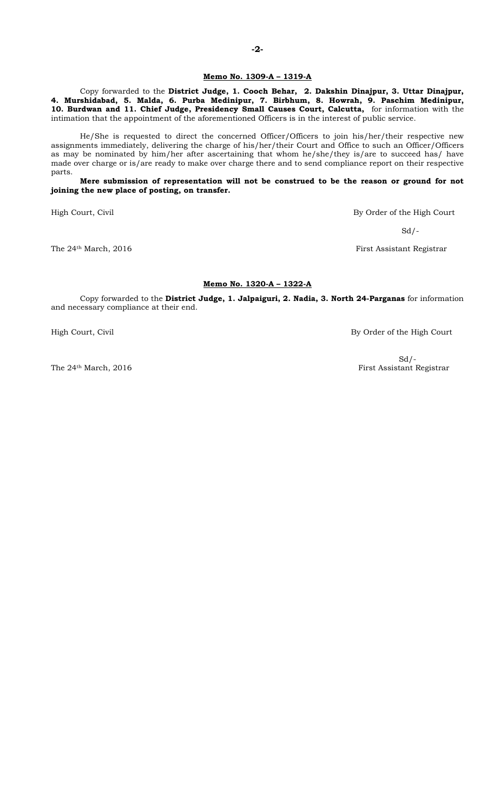#### Memo No. 1309-A – 1319-A

Copy forwarded to the District Judge, 1. Cooch Behar, 2. Dakshin Dinajpur, 3. Uttar Dinajpur, 4. Murshidabad, 5. Malda, 6. Purba Medinipur, 7. Birbhum, 8. Howrah, 9. Paschim Medinipur, 10. Burdwan and 11. Chief Judge, Presidency Small Causes Court, Calcutta, for information with the intimation that the appointment of the aforementioned Officers is in the interest of public service.

He/She is requested to direct the concerned Officer/Officers to join his/her/their respective new assignments immediately, delivering the charge of his/her/their Court and Office to such an Officer/Officers as may be nominated by him/her after ascertaining that whom he/she/they is/are to succeed has/ have made over charge or is/are ready to make over charge there and to send compliance report on their respective parts.

Mere submission of representation will not be construed to be the reason or ground for not joining the new place of posting, on transfer.

High Court, Civil By Order of the High Court

 $Sd$  /-

The 24<sup>th</sup> March, 2016 **First Assistant Registrar** First Assistant Registrar

#### Memo No. 1320-A – 1322-A

Copy forwarded to the District Judge, 1. Jalpaiguri, 2. Nadia, 3. North 24-Parganas for information and necessary compliance at their end.

High Court, Civil By Order of the High Court

 $Sd$  /-The 24<sup>th</sup> March, 2016 **First Assistant Registrar**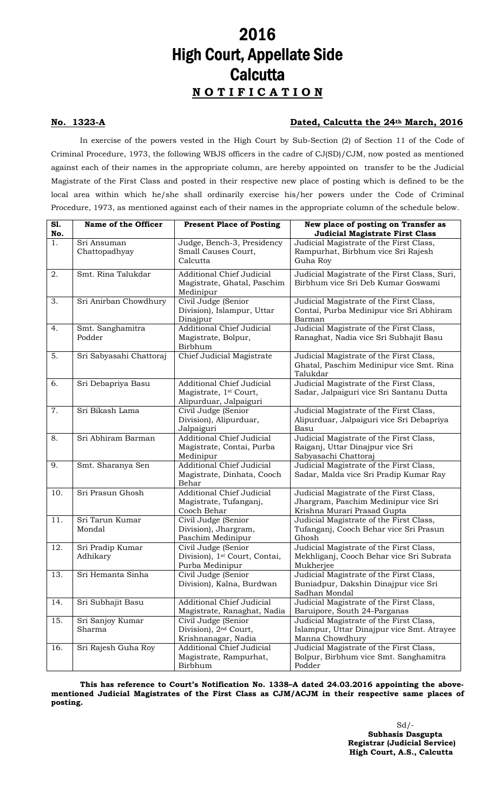## 2016 High Court, Appellate Side **Calcutta** N O T I F I C A T I O N

#### No. 1323-A Dated, Calcutta the 24th March, 2016

In exercise of the powers vested in the High Court by Sub-Section (2) of Section 11 of the Code of Criminal Procedure, 1973, the following WBJS officers in the cadre of CJ(SD)/CJM, now posted as mentioned against each of their names in the appropriate column, are hereby appointed on transfer to be the Judicial Magistrate of the First Class and posted in their respective new place of posting which is defined to be the local area within which he/she shall ordinarily exercise his/her powers under the Code of Criminal Procedure, 1973, as mentioned against each of their names in the appropriate column of the schedule below.

| S1. | Name of the Officer     | <b>Present Place of Posting</b>                              | New place of posting on Transfer as                                                 |
|-----|-------------------------|--------------------------------------------------------------|-------------------------------------------------------------------------------------|
| No. |                         |                                                              | <b>Judicial Magistrate First Class</b>                                              |
| 1.  | Sri Ansuman             | Judge, Bench-3, Presidency                                   | Judicial Magistrate of the First Class,                                             |
|     | Chattopadhyay           | Small Causes Court,<br>Calcutta                              | Rampurhat, Birbhum vice Sri Rajesh                                                  |
|     |                         |                                                              | Guha Roy                                                                            |
| 2.  | Smt. Rina Talukdar      | Additional Chief Judicial                                    | Judicial Magistrate of the First Class, Suri,                                       |
|     |                         | Magistrate, Ghatal, Paschim                                  | Birbhum vice Sri Deb Kumar Goswami                                                  |
|     |                         | Medinipur                                                    |                                                                                     |
| 3.  | Sri Anirban Chowdhury   | Civil Judge (Senior                                          | Judicial Magistrate of the First Class,                                             |
|     |                         | Division), Islampur, Uttar                                   | Contai, Purba Medinipur vice Sri Abhiram                                            |
|     |                         | Dinajpur                                                     | Barman                                                                              |
| 4.  | Smt. Sanghamitra        | <b>Additional Chief Judicial</b>                             | Judicial Magistrate of the First Class,                                             |
|     | Podder                  | Magistrate, Bolpur,<br>Birbhum                               | Ranaghat, Nadia vice Sri Subhajit Basu                                              |
| 5.  | Sri Sabyasahi Chattoraj | Chief Judicial Magistrate                                    | Judicial Magistrate of the First Class,                                             |
|     |                         |                                                              | Ghatal, Paschim Medinipur vice Smt. Rina                                            |
|     |                         |                                                              | Talukdar                                                                            |
| 6.  | Sri Debapriya Basu      | <b>Additional Chief Judicial</b>                             | Judicial Magistrate of the First Class,<br>Sadar, Jalpaiguri vice Sri Santanu Dutta |
|     |                         | Magistrate, 1 <sup>st</sup> Court,<br>Alipurduar, Jalpaiguri |                                                                                     |
| 7.  | Sri Bikash Lama         | Civil Judge (Senior                                          | Judicial Magistrate of the First Class,                                             |
|     |                         | Division), Alipurduar,                                       | Alipurduar, Jalpaiguri vice Sri Debapriya                                           |
|     |                         | Jalpaiguri                                                   | Basu                                                                                |
| 8.  | Sri Abhiram Barman      | Additional Chief Judicial                                    | Judicial Magistrate of the First Class,                                             |
|     |                         | Magistrate, Contai, Purba                                    | Raiganj, Uttar Dinajpur vice Sri                                                    |
|     |                         | Medinipur                                                    | Sabyasachi Chattoraj                                                                |
| 9.  | Smt. Sharanya Sen       | <b>Additional Chief Judicial</b>                             | Judicial Magistrate of the First Class,                                             |
|     |                         | Magistrate, Dinhata, Cooch                                   | Sadar, Malda vice Sri Pradip Kumar Ray                                              |
|     |                         | Behar                                                        |                                                                                     |
| 10. | Sri Prasun Ghosh        | <b>Additional Chief Judicial</b>                             | Judicial Magistrate of the First Class,                                             |
|     |                         | Magistrate, Tufanganj,<br>Cooch Behar                        | Jhargram, Paschim Medinipur vice Sri<br>Krishna Murari Prasad Gupta                 |
| 11. | Sri Tarun Kumar         | Civil Judge (Senior                                          | Judicial Magistrate of the First Class,                                             |
|     | Mondal                  | Division), Jhargram,                                         | Tufanganj, Cooch Behar vice Sri Prasun                                              |
|     |                         | Paschim Medinipur                                            | Ghosh                                                                               |
| 12. | Sri Pradip Kumar        | Civil Judge (Senior                                          | Judicial Magistrate of the First Class,                                             |
|     | Adhikary                | Division), 1 <sup>st</sup> Court, Contai,                    | Mekhliganj, Cooch Behar vice Sri Subrata                                            |
|     |                         | Purba Medinipur                                              | Mukherjee                                                                           |
| 13. | Sri Hemanta Sinha       | Civil Judge (Senior                                          | Judicial Magistrate of the First Class,                                             |
|     |                         | Division), Kalna, Burdwan                                    | Buniadpur, Dakshin Dinajpur vice Sri                                                |
|     |                         |                                                              | Sadhan Mondal                                                                       |
| 14. | Sri Subhajit Basu       | <b>Additional Chief Judicial</b>                             | Judicial Magistrate of the First Class,                                             |
|     |                         | Magistrate, Ranaghat, Nadia                                  | Baruipore, South 24-Parganas                                                        |
| 15. | Sri Sanjoy Kumar        | Civil Judge (Senior                                          | Judicial Magistrate of the First Class,                                             |
|     | Sharma                  | Division), 2 <sup>nd</sup> Court,                            | Islampur, Uttar Dinajpur vice Smt. Atrayee                                          |
|     |                         | Krishnanagar, Nadia                                          | Manna Chowdhury                                                                     |
| 16. | Sri Rajesh Guha Roy     | Additional Chief Judicial                                    | Judicial Magistrate of the First Class,                                             |
|     |                         | Magistrate, Rampurhat,<br>Birbhum                            | Bolpur, Birbhum vice Smt. Sanghamitra<br>Podder                                     |
|     |                         |                                                              |                                                                                     |

This has reference to Court's Notification No. 1338–A dated 24.03.2016 appointing the abovementioned Judicial Magistrates of the First Class as CJM/ACJM in their respective same places of posting.

> Sd/- Subhasis Dasgupta Registrar (Judicial Service) High Court, A.S., Calcutta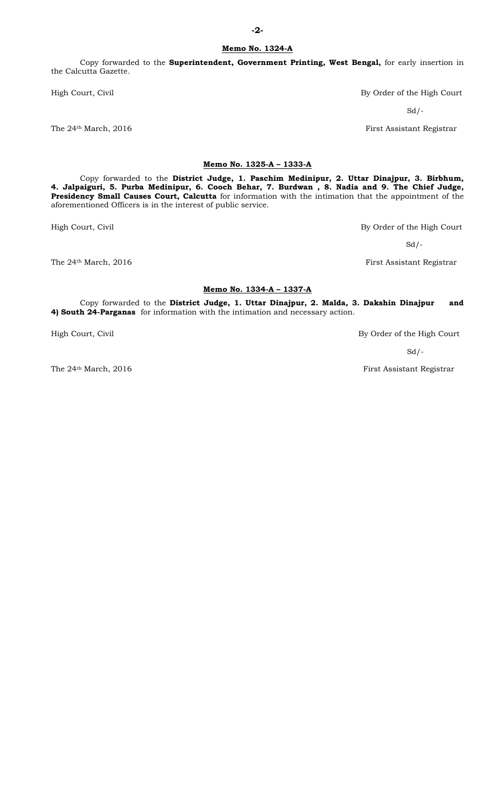Copy forwarded to the Superintendent, Government Printing, West Bengal, for early insertion in the Calcutta Gazette.

High Court, Civil By Order of the High Court

#### Memo No. 1325-A – 1333-A

Copy forwarded to the District Judge, 1. Paschim Medinipur, 2. Uttar Dinajpur, 3. Birbhum, 4. Jalpaiguri, 5. Purba Medinipur, 6. Cooch Behar, 7. Burdwan , 8. Nadia and 9. The Chief Judge, Presidency Small Causes Court, Calcutta for information with the intimation that the appointment of the aforementioned Officers is in the interest of public service.

High Court, Civil By Order of the High Court

The 24<sup>th</sup> March, 2016 **First Assistant Registrar** 

#### Memo No. 1334-A – 1337-A

Copy forwarded to the District Judge, 1. Uttar Dinajpur, 2. Malda, 3. Dakshin Dinajpur and 4) South 24-Parganas for information with the intimation and necessary action.

 $Sd$  /-

High Court, Civil By Order of the High Court

 $Sd$  /-

The 24<sup>th</sup> March, 2016 **First Assistant Registrar** 

 $Sd$  /-

The 24<sup>th</sup> March, 2016 **First Assistant Registrar**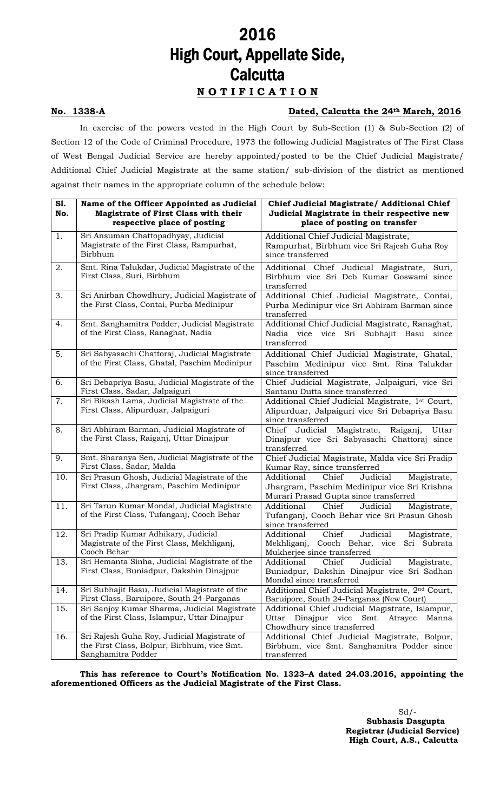## 2016 High Court, Appellate Side, **Calcutta** N O T I F I C A T I O N

#### No. 1338-A Dated, Calcutta the 24th March, 2016

In exercise of the powers vested in the High Court by Sub-Section (1) & Sub-Section (2) of Section 12 of the Code of Criminal Procedure, 1973 the following Judicial Magistrates of The First Class of West Bengal Judicial Service are hereby appointed/posted to be the Chief Judicial Magistrate/ Additional Chief Judicial Magistrate at the same station/ sub-division of the district as mentioned against their names in the appropriate column of the schedule below:

| S1.<br>No. | Name of the Officer Appointed as Judicial<br>Magistrate of First Class with their<br>respective place of posting | Chief Judicial Magistrate/ Additional Chief<br>Judicial Magistrate in their respective new<br>place of posting on transfer              |
|------------|------------------------------------------------------------------------------------------------------------------|-----------------------------------------------------------------------------------------------------------------------------------------|
| 1.         | Sri Ansuman Chattopadhyay, Judicial<br>Magistrate of the First Class, Rampurhat,<br>Birbhum                      | Additional Chief Judicial Magistrate,<br>Rampurhat, Birbhum vice Sri Rajesh Guha Roy<br>since transferred                               |
| 2.         | Smt. Rina Talukdar, Judicial Magistrate of the<br>First Class, Suri, Birbhum                                     | Additional Chief Judicial Magistrate, Suri,<br>Birbhum vice Sri Deb Kumar Goswami since<br>transferred                                  |
| 3.         | Sri Anirban Chowdhury, Judicial Magistrate of<br>the First Class, Contai, Purba Medinipur                        | Additional Chief Judicial Magistrate, Contai,<br>Purba Medinipur vice Sri Abhiram Barman since<br>transferred                           |
| 4.         | Smt. Sanghamitra Podder, Judicial Magistrate<br>of the First Class, Ranaghat, Nadia                              | Additional Chief Judicial Magistrate, Ranaghat,<br>Nadia vice<br>vice<br>Sri<br>Subhajit Basu<br>since<br>transferred                   |
| 5.         | Sri Sabyasachi Chattoraj, Judicial Magistrate<br>of the First Class, Ghatal, Paschim Medinipur                   | Additional Chief Judicial Magistrate, Ghatal,<br>Paschim Medinipur vice Smt. Rina Talukdar<br>since transferred                         |
| 6.         | Sri Debapriya Basu, Judicial Magistrate of the<br>First Class, Sadar, Jalpaiguri                                 | Chief Judicial Magistrate, Jalpaiguri, vice Sri<br>Santanu Dutta since transferred                                                      |
| 7.         | Sri Bikash Lama, Judicial Magistrate of the<br>First Class, Alipurduar, Jalpaiguri                               | Additional Chief Judicial Magistrate, 1st Court,<br>Alipurduar, Jalpaiguri vice Sri Debapriya Basu<br>since transferred                 |
| 8.         | Sri Abhiram Barman, Judicial Magistrate of<br>the First Class, Raiganj, Uttar Dinajpur                           | Magistrate,<br>Raiganj,<br>Chief Judicial<br>Uttar<br>Dinajpur vice Sri Sabyasachi Chattoraj since<br>transferred                       |
| 9.         | Smt. Sharanya Sen, Judicial Magistrate of the<br>First Class, Sadar, Malda                                       | Chief Judicial Magistrate, Malda vice Sri Pradip<br>Kumar Ray, since transferred                                                        |
| 10.        | Sri Prasun Ghosh, Judicial Magistrate of the<br>First Class, Jhargram, Paschim Medinipur                         | Chief<br>Additional<br>Magistrate,<br>Judicial<br>Jhargram, Paschim Medinipur vice Sri Krishna<br>Murari Prasad Gupta since transferred |
| 11.        | Sri Tarun Kumar Mondal, Judicial Magistrate<br>of the First Class, Tufanganj, Cooch Behar                        | Additional<br>Chief<br>Judicial<br>Magistrate,<br>Tufanganj, Cooch Behar vice Sri Prasun Ghosh<br>since transferred                     |
| 12.        | Sri Pradip Kumar Adhikary, Judicial<br>Magistrate of the First Class, Mekhliganj,<br>Cooch Behar                 | Judicial<br>Additional<br>Chief<br>Magistrate,<br>Mekhliganj, Cooch Behar, vice<br>Sri Subrata<br>Mukherjee since transferred           |
| 13.        | Sri Hemanta Sinha, Judicial Magistrate of the<br>First Class, Buniadpur, Dakshin Dinajpur                        | Additional<br>Chief<br>Judicial<br>Magistrate,<br>Buniadpur, Dakshin Dinajpur vice Sri Sadhan<br>Mondal since transferred               |
| 14.        | Sri Subhajit Basu, Judicial Magistrate of the<br>First Class, Baruipore, South 24-Parganas                       | Additional Chief Judicial Magistrate, 2 <sup>nd</sup> Court,<br>Baruipore, South 24-Parganas (New Court)                                |
| 15.        | Sri Sanjoy Kumar Sharma, Judicial Magistrate<br>of the First Class, Islampur, Uttar Dinajpur                     | Additional Chief Judicial Magistrate, Islampur,<br>Atrayee<br>Uttar<br>Dinajpur<br>vice<br>Smt.<br>Manna<br>Chowdhury since transferred |
| 16.        | Sri Rajesh Guha Roy, Judicial Magistrate of<br>the First Class, Bolpur, Birbhum, vice Smt.<br>Sanghamitra Podder | Additional Chief Judicial Magistrate, Bolpur,<br>Birbhum, vice Smt. Sanghamitra Podder since<br>transferred                             |

This has reference to Court's Notification No. 1323–A dated 24.03.2016, appointing the aforementioned Officers as the Judicial Magistrate of the First Class.

> $Sd$  /- Subhasis Dasgupta Registrar (Judicial Service) High Court, A.S., Calcutta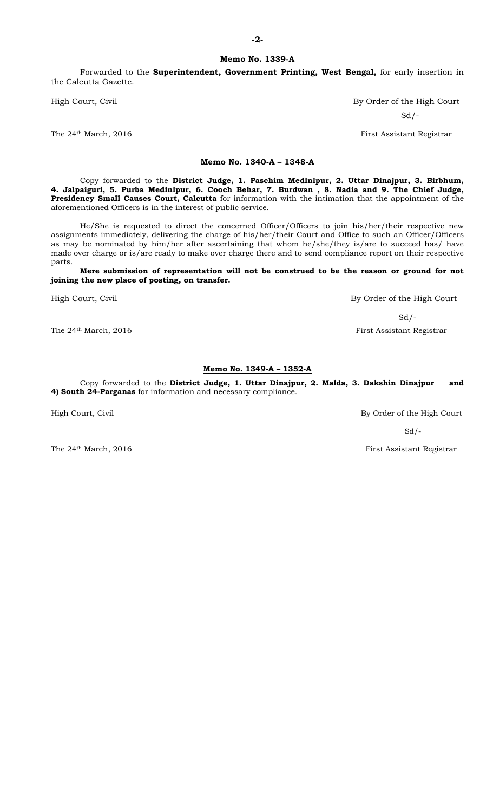Forwarded to the Superintendent, Government Printing, West Bengal, for early insertion in the Calcutta Gazette.

#### Memo No. 1340-A – 1348-A

Copy forwarded to the District Judge, 1. Paschim Medinipur, 2. Uttar Dinajpur, 3. Birbhum, 4. Jalpaiguri, 5. Purba Medinipur, 6. Cooch Behar, 7. Burdwan , 8. Nadia and 9. The Chief Judge, Presidency Small Causes Court, Calcutta for information with the intimation that the appointment of the aforementioned Officers is in the interest of public service.

He/She is requested to direct the concerned Officer/Officers to join his/her/their respective new assignments immediately, delivering the charge of his/her/their Court and Office to such an Officer/Officers as may be nominated by him/her after ascertaining that whom he/she/they is/are to succeed has/ have made over charge or is/are ready to make over charge there and to send compliance report on their respective parts.

#### Mere submission of representation will not be construed to be the reason or ground for not joining the new place of posting, on transfer.

High Court, Civil **By Order of the High Court** 

 $Sd/-$ The 24<sup>th</sup> March, 2016 First Assistant Registrar

#### Memo No. 1349-A – 1352-A

Copy forwarded to the District Judge, 1. Uttar Dinajpur, 2. Malda, 3. Dakshin Dinajpur and 4) South 24-Parganas for information and necessary compliance.

High Court, Civil By Order of the High Court

 $Sd$  /-

The 24<sup>th</sup> March, 2016 **First Assistant Registrar** 

High Court, Civil **By Order of the High Court** Sd/-

The 24<sup>th</sup> March, 2016 **First Assistant Registrar** 

-2-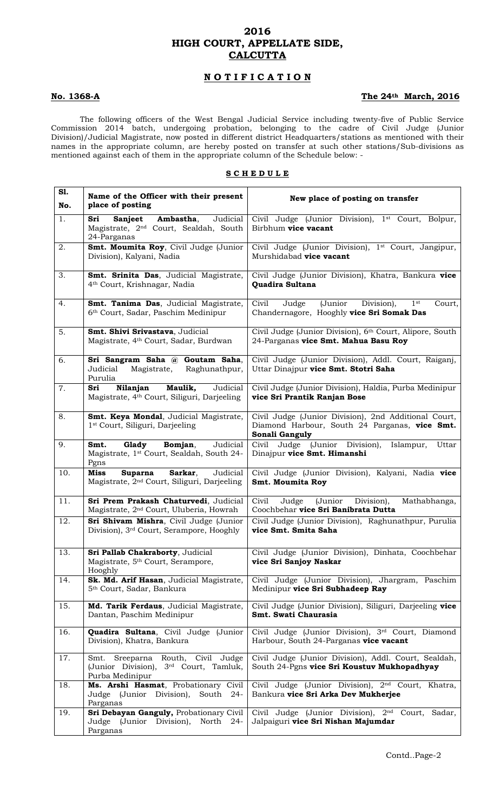### 2016 HIGH COURT, APPELLATE SIDE, **CALCUTTA**

### N O T I F I C A T I O N

### No. 1368-A The 24th March, 2016

The following officers of the West Bengal Judicial Service including twenty-five of Public Service Commission 2014 batch, undergoing probation, belonging to the cadre of Civil Judge (Junior Division)/Judicial Magistrate, now posted in different district Headquarters/stations as mentioned with their names in the appropriate column, are hereby posted on transfer at such other stations/Sub-divisions as mentioned against each of them in the appropriate column of the Schedule below: -

#### **SCHEDULE**

| S1.<br>No. | Name of the Officer with their present<br>place of posting                                                      | New place of posting on transfer                                                                                                |
|------------|-----------------------------------------------------------------------------------------------------------------|---------------------------------------------------------------------------------------------------------------------------------|
| 1.         | Judicial<br>Sri<br>Sanjeet<br>Ambastha,<br>Magistrate, 2 <sup>nd</sup> Court, Sealdah, South<br>24-Parganas     | Civil Judge (Junior Division), 1st Court, Bolpur,<br>Birbhum vice vacant                                                        |
| 2.         | Smt. Moumita Roy, Civil Judge (Junior<br>Division), Kalyani, Nadia                                              | Civil Judge (Junior Division), 1 <sup>st</sup> Court, Jangipur,<br>Murshidabad vice vacant                                      |
| 3.         | Smt. Srinita Das, Judicial Magistrate,<br>4 <sup>th</sup> Court, Krishnagar, Nadia                              | Civil Judge (Junior Division), Khatra, Bankura vice<br>Quadira Sultana                                                          |
| 4.         | Smt. Tanima Das, Judicial Magistrate,<br>6 <sup>th</sup> Court, Sadar, Paschim Medinipur                        | (Junior<br>Civil<br>$\overline{J}$ udge<br>Division),<br>1 <sup>st</sup><br>Court,<br>Chandernagore, Hooghly vice Sri Somak Das |
| 5.         | Smt. Shivi Srivastava, Judicial<br>Magistrate, 4 <sup>th</sup> Court, Sadar, Burdwan                            | Civil Judge (Junior Division), 6th Court, Alipore, South<br>24-Parganas vice Smt. Mahua Basu Roy                                |
| 6.         | Sri Sangram Saha @ Goutam Saha,<br>Judicial<br>Magistrate,<br>Raghunathpur,<br>Purulia                          | Civil Judge (Junior Division), Addl. Court, Raiganj,<br>Uttar Dinajpur vice Smt. Stotri Saha                                    |
| 7.         | Nilanjan<br>Maulik,<br>Judicial<br>Sri<br>Magistrate, 4 <sup>th</sup> Court, Siliguri, Darjeeling               | Civil Judge (Junior Division), Haldia, Purba Medinipur<br>vice Sri Prantik Ranjan Bose                                          |
| 8.         | Smt. Keya Mondal, Judicial Magistrate,<br>1 <sup>st</sup> Court, Siliguri, Darjeeling                           | Civil Judge (Junior Division), 2nd Additional Court,<br>Diamond Harbour, South 24 Parganas, vice Smt.<br>Sonali Ganguly         |
| 9.         | Glady<br>Bomjan,<br>Judicial<br>Smt.<br>Magistrate, 1 <sup>st</sup> Court, Sealdah, South 24-<br>Pgns           | Civil Judge<br>(Junior Division),<br>Islampur,<br>Uttar<br>Dinajpur vice Smt. Himanshi                                          |
| 10.        | Judicial<br><b>Miss</b><br>Sarkar,<br><b>Suparna</b><br>Magistrate, 2 <sup>nd</sup> Court, Siliguri, Darjeeling | Civil Judge (Junior Division), Kalyani, Nadia vice<br><b>Smt. Moumita Roy</b>                                                   |
| 11.        | Sri Prem Prakash Chaturvedi, Judicial<br>Magistrate, 2 <sup>nd</sup> Court, Uluberia, Howrah                    | Civil<br>Judge<br>(Junior<br>Division),<br>Mathabhanga,<br>Coochbehar vice Sri Banibrata Dutta                                  |
| 12.        | Sri Shivam Mishra, Civil Judge (Junior<br>Division), 3 <sup>rd</sup> Court, Serampore, Hooghly                  | Civil Judge (Junior Division), Raghunathpur, Purulia<br>vice Smt. Smita Saha                                                    |
| 13.        | Sri Pallab Chakraborty, Judicial<br>Magistrate, 5 <sup>th</sup> Court, Serampore,<br>Hooghly                    | Civil Judge (Junior Division), Dinhata, Coochbehar<br>vice Sri Sanjoy Naskar                                                    |
| 14.        | Sk. Md. Arif Hasan, Judicial Magistrate,<br>5 <sup>th</sup> Court, Sadar, Bankura                               | Civil Judge (Junior Division), Jhargram, Paschim<br>Medinipur vice Sri Subhadeep Ray                                            |
| 15.        | Md. Tarik Ferdaus, Judicial Magistrate,<br>Dantan, Paschim Medinipur                                            | Civil Judge (Junior Division), Siliguri, Darjeeling vice<br>Smt. Swati Chaurasia                                                |
| 16.        | Quadira Sultana, Civil Judge (Junior<br>Division), Khatra, Bankura                                              | Civil Judge (Junior Division), 3rd Court, Diamond<br>Harbour, South 24-Parganas vice vacant                                     |
| 17.        | Sreeparna Routh, Civil Judge<br>Smt.<br>(Junior Division), 3 <sup>rd</sup> Court, Tamluk,<br>Purba Medinipur    | Civil Judge (Junior Division), Addl. Court, Sealdah,<br>South 24-Pgns vice Sri Koustuv Mukhopadhyay                             |
| 18.        | Ms. Arshi Hasmat, Probationary Civil<br>Judge (Junior Division), South 24-<br>Parganas                          | Civil Judge (Junior Division), 2 <sup>nd</sup> Court, Khatra,<br>Bankura vice Sri Arka Dev Mukherjee                            |
| 19.        | Sri Debayan Ganguly, Probationary Civil<br>Judge (Junior Division), North 24-<br>Parganas                       | Civil Judge (Junior Division), 2 <sup>nd</sup> Court,<br>Sadar,<br>Jalpaiguri vice Sri Nishan Majumdar                          |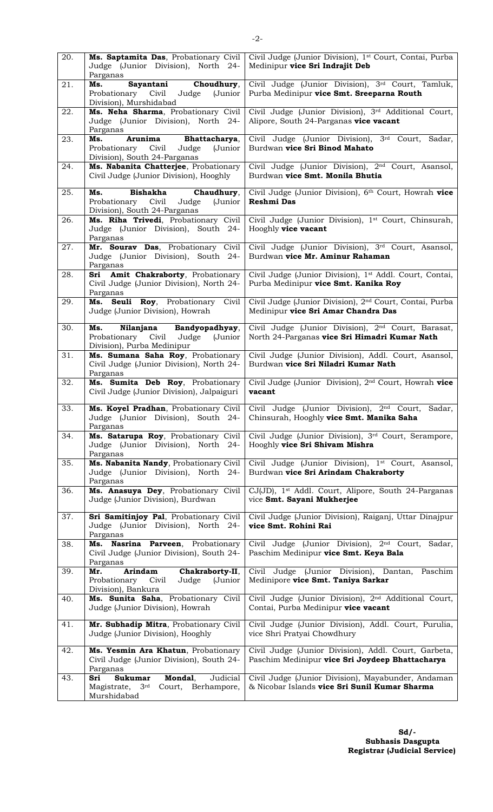| 20. | Ms. Saptamita Das, Probationary Civil<br>Judge (Junior Division), North 24-<br>Parganas                      | Civil Judge (Junior Division), 1 <sup>st</sup> Court, Contai, Purba<br>Medinipur vice Sri Indrajit Deb            |
|-----|--------------------------------------------------------------------------------------------------------------|-------------------------------------------------------------------------------------------------------------------|
| 21. | Sayantani Choudhury,<br>Ms.<br>Probationary Civil Judge (Junior<br>Division), Murshidabad                    | Civil Judge (Junior Division), 3rd Court, Tamluk,<br>Purba Medinipur vice Smt. Sreeparna Routh                    |
| 22. | Ms. Neha Sharma, Probationary Civil<br>Judge (Junior Division), North 24-<br>Parganas                        | Civil Judge (Junior Division), 3rd Additional Court,<br>Alipore, South 24-Parganas vice vacant                    |
| 23. | Arunima Bhattacharya,<br>Ms.<br>Probationary Civil<br>(Junior<br>Judge<br>Division), South 24-Parganas       | Civil Judge (Junior Division), 3rd Court,<br>Sadar,<br>Burdwan vice Sri Binod Mahato                              |
| 24. | Ms. Nabanita Chatterjee, Probationary<br>Civil Judge (Junior Division), Hooghly                              | Civil Judge (Junior Division), 2 <sup>nd</sup> Court, Asansol,<br>Burdwan vice Smt. Monila Bhutia                 |
| 25. | Bishakha<br>Chaudhury,<br>Ms.<br>Probationary Civil<br>Judge<br>(Junior<br>Division), South 24-Parganas      | Civil Judge (Junior Division), 6 <sup>th</sup> Court, Howrah vice<br>Reshmi Das                                   |
| 26. | Ms. Riha Trivedi, Probationary Civil<br>Judge (Junior Division), South 24-<br>Parganas                       | Civil Judge (Junior Division), 1 <sup>st</sup> Court, Chinsurah,<br>Hooghly vice vacant                           |
| 27. | Mr. Sourav Das, Probationary Civil<br>Judge (Junior Division), South 24-<br>Parganas                         | Civil Judge (Junior Division), 3rd Court, Asansol,<br>Burdwan vice Mr. Aminur Rahaman                             |
| 28. | Sri Amit Chakraborty, Probationary<br>Civil Judge (Junior Division), North 24-<br>Parganas                   | Civil Judge (Junior Division), 1 <sup>st</sup> Addl. Court, Contai,<br>Purba Medinipur vice Smt. Kanika Roy       |
| 29. | Ms. Seuli Roy, Probationary<br>Civil<br>Judge (Junior Division), Howrah                                      | Civil Judge (Junior Division), 2 <sup>nd</sup> Court, Contai, Purba<br>Medinipur vice Sri Amar Chandra Das        |
| 30. | Nilanjana Bandyopadhyay,<br>Ms.<br>Probationary Civil Judge<br>(Junior<br>Division), Purba Medinipur         | Civil Judge (Junior Division), 2 <sup>nd</sup> Court, Barasat,<br>North 24-Parganas vice Sri Himadri Kumar Nath   |
| 31. | Ms. Sumana Saha Roy, Probationary<br>Civil Judge (Junior Division), North 24-<br>Parganas                    | Civil Judge (Junior Division), Addl. Court, Asansol,<br>Burdwan vice Sri Niladri Kumar Nath                       |
| 32. | Ms. Sumita Deb Roy, Probationary<br>Civil Judge (Junior Division), Jalpaiguri                                | Civil Judge (Junior Division), 2 <sup>nd</sup> Court, Howrah vice<br>vacant                                       |
| 33. | Ms. Koyel Pradhan, Probationary Civil<br>Judge (Junior Division), South 24-<br>Parganas                      | 2 <sup>nd</sup> Court,<br>Civil Judge<br>(Junior Division),<br>Sadar,<br>Chinsurah, Hooghly vice Smt. Manika Saha |
| 34. | Ms. Satarupa Roy, Probationary Civil<br>Judge (Junior Division), North 24-<br>Parganas                       | Civil Judge (Junior Division), 3rd Court, Serampore,<br>Hooghly vice Sri Shivam Mishra                            |
| 35. | Ms. Nabanita Nandy, Probationary Civil<br>Judge (Junior Division), North 24-<br>Parganas                     | Civil Judge (Junior Division), 1st Court, Asansol,<br>Burdwan vice Sri Arindam Chakraborty                        |
| 36. | Ms. Anasuya Dey, Probationary Civil<br>Judge (Junior Division), Burdwan                                      | CJ(JD), 1 <sup>st</sup> Addl. Court, Alipore, South 24-Parganas<br>vice Smt. Sayani Mukherjee                     |
| 37. | Sri Samitinjoy Pal, Probationary Civil<br>Judge (Junior Division), North 24-<br>Parganas                     | Civil Judge (Junior Division), Raiganj, Uttar Dinajpur<br>vice Smt. Rohini Rai                                    |
| 38. | Ms.<br>Nasrina Parveen, Probationary<br>Civil Judge (Junior Division), South 24-<br>Parganas                 | Civil Judge (Junior Division), 2 <sup>nd</sup> Court,<br>Sadar,<br>Paschim Medinipur vice Smt. Keya Bala          |
| 39. | <b>Arindam</b><br>Mr.<br>Chakraborty-II,<br>Civil<br>Judge<br>Probationary<br>(Junior<br>Division), Bankura  | Civil Judge (Junior Division), Dantan, Paschim<br>Medinipore vice Smt. Taniya Sarkar                              |
| 40. | Ms. Sunita Saha, Probationary Civil<br>Judge (Junior Division), Howrah                                       | Civil Judge (Junior Division), 2 <sup>nd</sup> Additional Court,<br>Contai, Purba Medinipur vice vacant           |
| 41. | Mr. Subhadip Mitra, Probationary Civil<br>Judge (Junior Division), Hooghly                                   | Civil Judge (Junior Division), Addl. Court, Purulia,<br>vice Shri Pratyai Chowdhury                               |
| 42. | Ms. Yesmin Ara Khatun, Probationary<br>Civil Judge (Junior Division), South 24-<br>Parganas                  | Civil Judge (Junior Division), Addl. Court, Garbeta,<br>Paschim Medinipur vice Sri Joydeep Bhattacharya           |
| 43. | Mondal,<br>Judicial<br>Sri<br>Sukumar<br>Magistrate,<br>3 <sup>rd</sup><br>Court, Berhampore,<br>Murshidabad | Civil Judge (Junior Division), Mayabunder, Andaman<br>& Nicobar Islands vice Sri Sunil Kumar Sharma               |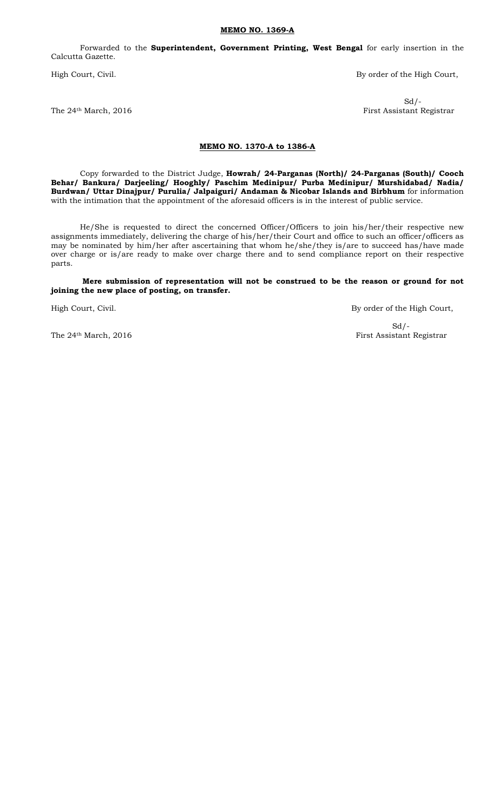#### MEMO NO. 1369-A

Forwarded to the Superintendent, Government Printing, West Bengal for early insertion in the Calcutta Gazette.

High Court, Civil. **By order of the High Court**,

 $Sd$  /-The 24<sup>th</sup> March, 2016 **First Assistant Registrar** 

#### MEMO NO. 1370-A to 1386-A

Copy forwarded to the District Judge, Howrah/ 24-Parganas (North)/ 24-Parganas (South)/ Cooch Behar/ Bankura/ Darjeeling/ Hooghly/ Paschim Medinipur/ Purba Medinipur/ Murshidabad/ Nadia/ Burdwan/ Uttar Dinajpur/ Purulia/ Jalpaiguri/ Andaman & Nicobar Islands and Birbhum for information with the intimation that the appointment of the aforesaid officers is in the interest of public service.

He/She is requested to direct the concerned Officer/Officers to join his/her/their respective new assignments immediately, delivering the charge of his/her/their Court and office to such an officer/officers as may be nominated by him/her after ascertaining that whom he/she/they is/are to succeed has/have made over charge or is/are ready to make over charge there and to send compliance report on their respective parts.

Mere submission of representation will not be construed to be the reason or ground for not joining the new place of posting, on transfer.

High Court, Civil. **By order of the High Court**, Civil.

 $Sd/-$ 

The 24<sup>th</sup> March, 2016 **First Assistant Registrar**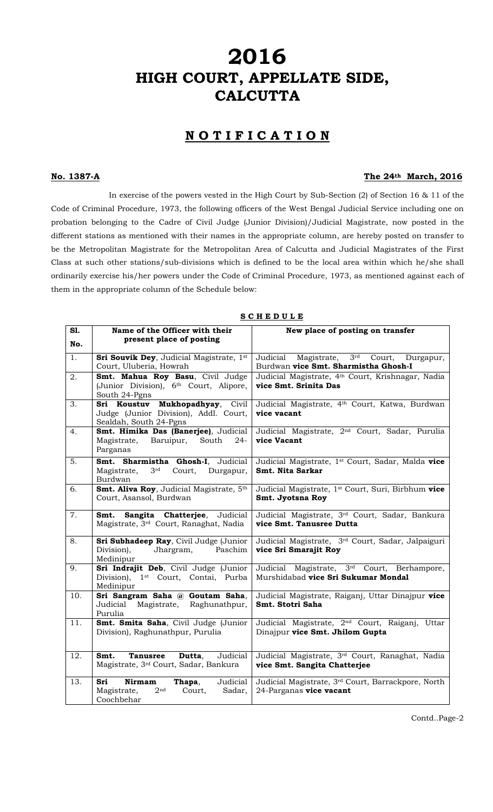# 2016<br>HIGH COURT, APPELLATE SIDE, **CALCUTTA**

## NOTIFICATION

#### No. 1387-A The 24th March, 2016

In exercise of the powers vested in the High Court by Sub-Section (2) of Section 16 & 11 of the Code of Criminal Procedure, 1973, the following officers of the West Bengal Judicial Service including one on probation belonging to the Cadre of Civil Judge (Junior Division)/Judicial Magistrate, now posted in the different stations as mentioned with their names in the appropriate column, are hereby posted on transfer to be the Metropolitan Magistrate for the Metropolitan Area of Calcutta and Judicial Magistrates of the First Class at such other stations/sub-divisions which is defined to be the local area within which he/she shall ordinarily exercise his/her powers under the Code of Criminal Procedure, 1973, as mentioned against each of them in the appropriate column of the Schedule below:

| S1. | Name of the Officer with their                                  | New place of posting on transfer                               |
|-----|-----------------------------------------------------------------|----------------------------------------------------------------|
|     | present place of posting                                        |                                                                |
| No. |                                                                 |                                                                |
| 1.  | Sri Souvik Dey, Judicial Magistrate, 1st                        | Judicial Magistrate,<br>3 <sup>rd</sup><br>Court,<br>Durgapur, |
|     | Court, Uluberia, Howrah                                         | Burdwan vice Smt. Sharmistha Ghosh-I                           |
| 2.  | Smt. Mahua Roy Basu, Civil Judge                                | Judicial Magistrate, 4th Court, Krishnagar, Nadia              |
|     | (Junior Division), 6 <sup>th</sup> Court, Alipore,              | vice Smt. Srinita Das                                          |
|     | South 24-Pgns                                                   |                                                                |
| 3.  | Sri Koustuv Mukhopadhyay, Civil                                 | Judicial Magistrate, 4 <sup>th</sup> Court, Katwa, Burdwan     |
|     | Judge (Junior Division), Addl. Court,<br>Sealdah, South 24-Pgns | vice vacant                                                    |
| 4.  | Smt. Himika Das (Banerjee), Judicial                            | Judicial Magistrate, 2 <sup>nd</sup> Court, Sadar, Purulia     |
|     | Baruipur,<br>Magistrate,<br>South<br>$24 -$                     | vice Vacant                                                    |
|     | Parganas                                                        |                                                                |
| 5.  | Smt. Sharmistha Ghosh-I, Judicial                               | Judicial Magistrate, 1 <sup>st</sup> Court, Sadar, Malda vice  |
|     | Court, Durgapur,<br>Magistrate,<br>3 <sup>rd</sup>              | Smt. Nita Sarkar                                               |
|     | Burdwan                                                         |                                                                |
| 6.  | Smt. Aliva Roy, Judicial Magistrate, 5th                        | Judicial Magistrate, 1 <sup>st</sup> Court, Suri, Birbhum vice |
|     | Court, Asansol, Burdwan                                         | Smt. Jyotsna Roy                                               |
| 7.  | Sangita Chatterjee, Judicial<br>Smt.                            | Judicial Magistrate, 3rd Court, Sadar, Bankura                 |
|     | Magistrate, 3rd Court, Ranaghat, Nadia                          | vice Smt. Tanusree Dutta                                       |
|     |                                                                 |                                                                |
| 8.  | Sri Subhadeep Ray, Civil Judge (Junior                          | Judicial Magistrate, 3rd Court, Sadar, Jalpaiguri              |
|     | Division),<br>Paschim<br>Jhargram,<br>Medinipur                 | vice Sri Smarajit Roy                                          |
| 9.  | Sri Indrajit Deb, Civil Judge (Junior                           | Judicial Magistrate, 3 <sup>rd</sup> Court, Berhampore,        |
|     | Division), 1 <sup>st</sup> Court, Contai, Purba                 | Murshidabad vice Sri Sukumar Mondal                            |
|     | Medinipur                                                       |                                                                |
| 10. | Sri Sangram Saha @ Goutam Saha,                                 | Judicial Magistrate, Raiganj, Uttar Dinajpur vice              |
|     | Judicial<br>Magistrate,<br>Raghunathpur,                        | Smt. Stotri Saha                                               |
|     | Purulia                                                         |                                                                |
| 11. | Smt. Smita Saha, Civil Judge (Junior                            | Judicial Magistrate, 2 <sup>nd</sup> Court, Raiganj, Uttar     |
|     | Division), Raghunathpur, Purulia                                | Dinajpur vice Smt. Jhilom Gupta                                |
|     |                                                                 |                                                                |
| 12. | Judicial<br>Smt.<br><b>Tanusree</b><br>Dutta,                   | Judicial Magistrate, 3rd Court, Ranaghat, Nadia                |
|     | Magistrate, 3rd Court, Sadar, Bankura                           | vice Smt. Sangita Chatterjee                                   |
| 13. | Judicial<br>Sri<br><b>Nirmam</b><br>Thapa,                      | Judicial Magistrate, 3rd Court, Barrackpore, North             |
|     | Magistrate,<br>2 <sup>nd</sup><br>Court,<br>Sadar,              | 24-Parganas vice vacant                                        |
|     | Coochbehar                                                      |                                                                |

S C H E D U L E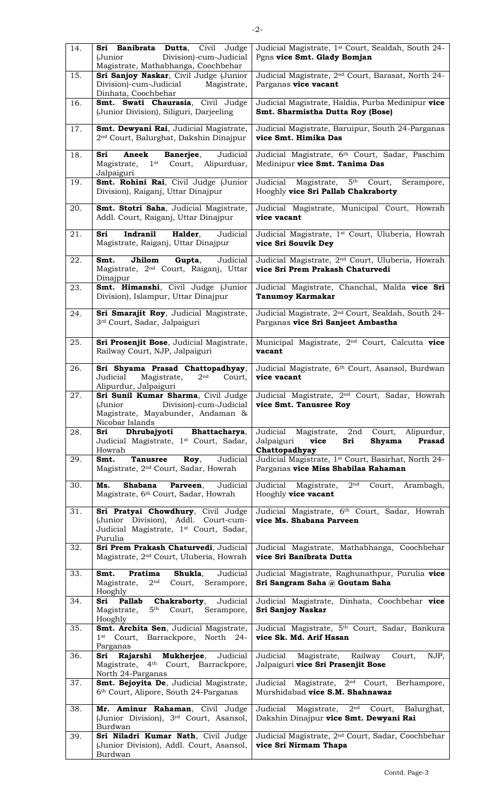| 14. | Sri Banibrata Dutta, Civil Judge<br>Division)-cum-Judicial<br>(Junior<br>Magistrate, Mathabhanga, Coochbehar                               | Judicial Magistrate, 1st Court, Sealdah, South 24-<br>Pgns vice Smt. Glady Bomjan                                   |
|-----|--------------------------------------------------------------------------------------------------------------------------------------------|---------------------------------------------------------------------------------------------------------------------|
| 15. | Sri Sanjoy Naskar, Civil Judge (Junior<br>Division)-cum-Judicial<br>Magistrate,<br>Dinhata, Coochbehar                                     | Judicial Magistrate, 2 <sup>nd</sup> Court, Barasat, North 24-<br>Parganas vice vacant                              |
| 16. | Smt. Swati Chaurasia, Civil Judge<br>(Junior Division), Siliguri, Darjeeling                                                               | Judicial Magistrate, Haldia, Purba Medinipur vice<br>Smt. Sharmistha Dutta Roy (Bose)                               |
| 17. | Smt. Dewyani Rai, Judicial Magistrate,<br>2 <sup>nd</sup> Court, Balurghat, Dakshin Dinajpur                                               | Judicial Magistrate, Baruipur, South 24-Parganas<br>vice Smt. Himika Das                                            |
| 18. | Aneek<br>Judicial<br>Sri<br>Banerjee,<br>Magistrate,<br>1 <sup>st</sup> Court, Alipurduar,<br>Jalpaiguri                                   | Judicial Magistrate, 6th Court, Sadar, Paschim<br>Medinipur vice Smt. Tanima Das                                    |
| 19. | Smt. Rohini Rai, Civil Judge (Junior<br>Division), Raiganj, Uttar Dinajpur                                                                 | Judicial<br>Magistrate,<br>5 <sup>th</sup><br>Court,<br>Serampore,<br>Hooghly vice Sri Pallab Chakraborty           |
| 20. | Smt. Stotri Saha, Judicial Magistrate,<br>Addl. Court, Raiganj, Uttar Dinajpur                                                             | Judicial Magistrate, Municipal Court, Howrah<br>vice vacant                                                         |
| 21. | Indranil<br>Halder,<br>Sri<br>Judicial<br>Magistrate, Raiganj, Uttar Dinajpur                                                              | Judicial Magistrate, 1 <sup>st</sup> Court, Uluberia, Howrah<br>vice Sri Souvik Dey                                 |
| 22. | Judicial<br>Smt.<br>Jhilom<br>Gupta,<br>Magistrate, 2 <sup>nd</sup> Court, Raiganj, Uttar<br>Dinajpur                                      | Judicial Magistrate, 2 <sup>nd</sup> Court, Uluberia, Howrah<br>vice Sri Prem Prakash Chaturvedi                    |
| 23. | Smt. Himanshi, Civil Judge (Junior<br>Division), Islampur, Uttar Dinajpur                                                                  | Judicial Magistrate, Chanchal, Malda vice Sri<br><b>Tanumoy Karmakar</b>                                            |
| 24. | Sri Smarajit Roy, Judicial Magistrate,<br>3 <sup>rd</sup> Court, Sadar, Jalpaiguri                                                         | Judicial Magistrate, 2 <sup>nd</sup> Court, Sealdah, South 24-<br>Parganas vice Sri Sanjeet Ambastha                |
| 25. | Sri Prosenjit Bose, Judicial Magistrate,<br>Railway Court, NJP, Jalpaiguri                                                                 | Municipal Magistrate, 2 <sup>nd</sup> Court, Calcutta vice<br>vacant                                                |
| 26. | Sri Shyama Prasad Chattopadhyay,<br>2 <sup>nd</sup><br>Judicial<br>Magistrate,<br>Court,<br>Alipurdur, Jalpaiguri                          | Judicial Magistrate, 6th Court, Asansol, Burdwan<br>vice vacant                                                     |
| 27. | Sri Sunil Kumar Sharma, Civil Judge<br>Division)-cum-Judicial<br>(Junior<br>Magistrate, Mayabunder, Andaman &<br>Nicobar Islands           | Judicial Magistrate, 2 <sup>nd</sup> Court, Sadar, Howrah<br>vice Smt. Tanusree Roy                                 |
| 28. | Dhrubajyoti<br>Bhattacharya,<br>Sri<br>Judicial Magistrate, 1st Court, Sadar,<br>Howrah                                                    | Judicial Magistrate, 2nd Court, Alipurdur,<br>Jalpaiguri<br>vice<br>Sri<br>Shyama<br><b>Prasad</b><br>Chattopadhyay |
| 29. | Smt.<br>Judicial<br><b>Tanusree</b><br>Roy,<br>Magistrate, 2 <sup>nd</sup> Court, Sadar, Howrah                                            | Judicial Magistrate, 1st Court, Basirhat, North 24-<br>Parganas vice Miss Shabilaa Rahaman                          |
| 30. | <b>Shabana</b><br>Parveen,<br>Judicial<br>Ms.<br>Magistrate, 6th Court, Sadar, Howrah                                                      | Judicial Magistrate,<br>$2^{\text{nd}}$<br>Court,<br>Arambagh,<br>Hooghly vice vacant                               |
| 31. | Sri Pratyai Chowdhury, Civil Judge<br>(Junior Division), Addl. Court-cum-<br>Judicial Magistrate, 1 <sup>st</sup> Court, Sadar,<br>Purulia | Judicial Magistrate, 6 <sup>th</sup> Court, Sadar, Howrah<br>vice Ms. Shabana Parveen                               |
| 32. | Sri Prem Prakash Chaturvedi, Judicial<br>Magistrate, 2 <sup>nd</sup> Court, Uluberia, Howrah                                               | Judicial Magistrate, Mathabhanga, Coochbehar<br>vice Sri Banibrata Dutta                                            |
| 33. | Smt.<br>Pratima<br>Shukla,<br>Judicial<br>Magistrate,<br>2 <sup>nd</sup><br>Court, Serampore,<br>Hooghly                                   | Judicial Magistrate, Raghunathpur, Purulia vice<br>Sri Sangram Saha @ Goutam Saha                                   |
| 34. | Judicial<br>Sri<br><b>Pallab</b><br>Chakraborty,<br>5 <sup>th</sup><br>Magistrate,<br>Court,<br>Serampore,<br>Hooghly                      | Judicial Magistrate, Dinhata, Coochbehar vice<br>Sri Sanjoy Naskar                                                  |
| 35. | Smt. Archita Sen, Judicial Magistrate,<br>1st Court, Barrackpore, North 24-<br>Parganas                                                    | Judicial Magistrate, 5 <sup>th</sup> Court, Sadar, Bankura<br>vice Sk. Md. Arif Hasan                               |
| 36. | Rajarshi Mukherjee,<br>Judicial<br>Sri<br>Magistrate, 4 <sup>th</sup> Court, Barrackpore,<br>North 24-Parganas                             | Judicial<br>Magistrate, Railway<br>Court,<br>NJP,<br>Jalpaiguri vice Sri Prasenjit Bose                             |
| 37. | Smt. Bejoyita De, Judicial Magistrate,<br>6 <sup>th</sup> Court, Alipore, South 24-Parganas                                                | Judicial Magistrate, 2 <sup>nd</sup> Court, Berhampore,<br>Murshidabad vice S.M. Shahnawaz                          |
| 38. | Mr. Aminur Rahaman, Civil Judge<br>(Junior Division), 3rd Court, Asansol,<br>Burdwan                                                       | Judicial<br>$2^{\rm nd}$<br>Magistrate,<br>Court,<br>Balurghat,<br>Dakshin Dinajpur vice Smt. Dewyani Rai           |
| 39. | Sri Niladri Kumar Nath, Civil Judge<br>(Junior Division), Addl. Court, Asansol,<br>Burdwan                                                 | Judicial Magistrate, 2 <sup>nd</sup> Court, Sadar, Coochbehar<br>vice Sri Nirmam Thapa                              |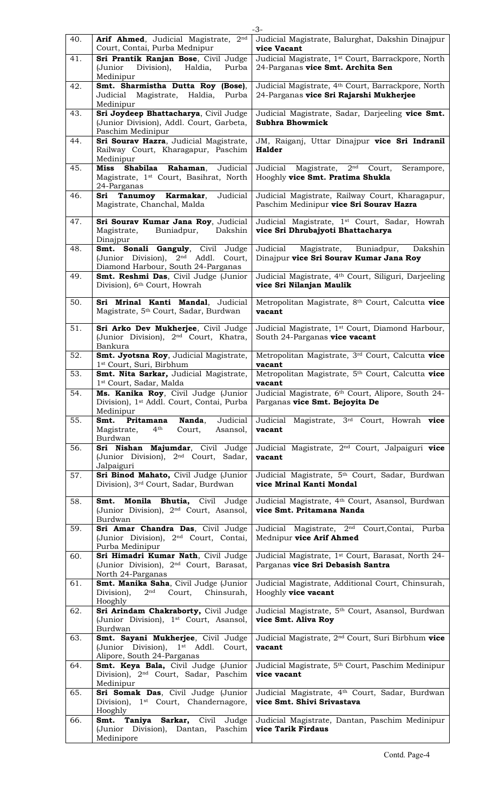| 40. |                                                                                                                              | $-3-$                                                                                                     |
|-----|------------------------------------------------------------------------------------------------------------------------------|-----------------------------------------------------------------------------------------------------------|
|     | Arif Ahmed, Judicial Magistrate, 2nd<br>Court, Contai, Purba Mednipur                                                        | Judicial Magistrate, Balurghat, Dakshin Dinajpur<br>vice Vacant                                           |
| 41. | Sri Prantik Ranjan Bose, Civil Judge<br>(Junior<br>Division), Haldia,<br>Purba<br>Medinipur                                  | Judicial Magistrate, 1 <sup>st</sup> Court, Barrackpore, North<br>24-Parganas vice Smt. Archita Sen       |
| 42. | Smt. Sharmistha Dutta Roy (Bose),<br>Judicial Magistrate, Haldia,<br>Purba<br>Medinipur                                      | Judicial Magistrate, 4 <sup>th</sup> Court, Barrackpore, North<br>24-Parganas vice Sri Rajarshi Mukherjee |
| 43. | Sri Joydeep Bhattacharya, Civil Judge<br>(Junior Division), Addl. Court, Garbeta,<br>Paschim Medinipur                       | Judicial Magistrate, Sadar, Darjeeling vice Smt.<br><b>Subhra Bhowmick</b>                                |
| 44. | Sri Sourav Hazra, Judicial Magistrate,<br>Railway Court, Kharagapur, Paschim<br>Medinipur                                    | JM, Raiganj, Uttar Dinajpur vice Sri Indranil<br><b>Halder</b>                                            |
| 45. | Judicial<br>Shabilaa<br>Rahaman,<br>Miss<br>Magistrate, 1 <sup>st</sup> Court, Basihrat, North<br>24-Parganas                | 2 <sup>nd</sup><br>Judicial<br>Magistrate,<br>Court,<br>Serampore,<br>Hooghly vice Smt. Pratima Shukla    |
| 46. | Sri Tanumoy Karmakar,<br>Judicial<br>Magistrate, Chanchal, Malda                                                             | Judicial Magistrate, Railway Court, Kharagapur,<br>Paschim Medinipur vice Sri Sourav Hazra                |
| 47. | Sri Sourav Kumar Jana Roy, Judicial<br>Magistrate,<br>Buniadpur,<br>Dakshin<br>Dinajpur                                      | Judicial Magistrate, 1 <sup>st</sup> Court, Sadar, Howrah<br>vice Sri Dhrubajyoti Bhattacharya            |
| 48. | Smt. Sonali Ganguly, Civil Judge<br>(Junior Division), 2 <sup>nd</sup> Addl.<br>Court,<br>Diamond Harbour, South 24-Parganas | Judicial<br>Magistrate,<br>Buniadpur,<br>Dakshin<br>Dinajpur vice Sri Sourav Kumar Jana Roy               |
| 49. | Smt. Reshmi Das, Civil Judge (Junior<br>Division), 6 <sup>th</sup> Court, Howrah                                             | Judicial Magistrate, 4 <sup>th</sup> Court, Siliguri, Darjeeling<br>vice Sri Nilanjan Maulik              |
| 50. | Sri Mrinal Kanti Mandal, Judicial<br>Magistrate, 5 <sup>th</sup> Court, Sadar, Burdwan                                       | Metropolitan Magistrate, 8th Court, Calcutta vice<br>vacant                                               |
| 51. | Sri Arko Dev Mukherjee, Civil Judge<br>(Junior Division), 2 <sup>nd</sup> Court, Khatra,<br>Bankura                          | Judicial Magistrate, 1 <sup>st</sup> Court, Diamond Harbour,<br>South 24-Parganas vice vacant             |
| 52. | Smt. Jyotsna Roy, Judicial Magistrate,<br>1 <sup>st</sup> Court, Suri, Birbhum                                               | Metropolitan Magistrate, 3rd Court, Calcutta vice<br>vacant                                               |
| 53. | Smt. Nita Sarkar, Judicial Magistrate,<br>1st Court, Sadar, Malda                                                            | Metropolitan Magistrate, 5th Court, Calcutta vice<br>vacant                                               |
| 54. | Ms. Kanika Roy, Civil Judge (Junior<br>Division), 1 <sup>st</sup> Addl. Court, Contai, Purba<br>Medinipur                    | Judicial Magistrate, 6th Court, Alipore, South 24-<br>Parganas vice Smt. Bejoyita De                      |
| 55. | Nanda,<br>Judicial<br>Smt.<br>Pritamana<br>Magistrate,<br>$4^{\text{th}}$<br>Court,<br>Asansol,                              | Judicial Magistrate, 3rd Court, Howrah vice                                                               |
|     | Burdwan                                                                                                                      | vacant                                                                                                    |
| 56. | Sri Nishan Majumdar, Civil Judge<br>(Junior Division), 2 <sup>nd</sup> Court, Sadar,                                         | Judicial Magistrate, 2 <sup>nd</sup> Court, Jalpaiguri vice<br>vacant                                     |
| 57. | Jalpaiguri<br>Sri Binod Mahato, Civil Judge (Junior<br>Division), 3rd Court, Sadar, Burdwan                                  | Judicial Magistrate, 5 <sup>th</sup> Court, Sadar, Burdwan<br>vice Mrinal Kanti Mondal                    |
| 58. | Monila Bhutia, Civil Judge<br>Smt.<br>(Junior Division), 2 <sup>nd</sup> Court, Asansol,<br>Burdwan                          | Judicial Magistrate, 4th Court, Asansol, Burdwan<br>vice Smt. Pritamana Nanda                             |
| 59. | Sri Amar Chandra Das, Civil Judge<br>(Junior Division), 2 <sup>nd</sup> Court, Contai,<br>Purba Medinipur                    | Judicial Magistrate, 2 <sup>nd</sup> Court, Contai, Purba<br>Mednipur vice Arif Ahmed                     |
| 60. | Sri Himadri Kumar Nath, Civil Judge<br>(Junior Division), 2 <sup>nd</sup> Court, Barasat,<br>North 24-Parganas               | Judicial Magistrate, 1st Court, Barasat, North 24-<br>Parganas vice Sri Debasish Santra                   |
| 61. | Smt. Manika Saha, Civil Judge (Junior<br>Division),<br>$2^{\mathrm{nd}}$<br>Court, Chinsurah,                                | Judicial Magistrate, Additional Court, Chinsurah,<br>Hooghly vice vacant                                  |
| 62. | Hooghly<br>Sri Arindam Chakraborty, Civil Judge<br>(Junior Division), 1 <sup>st</sup> Court, Asansol,                        | Judicial Magistrate, 5th Court, Asansol, Burdwan<br>vice Smt. Aliva Roy                                   |
| 63. | Burdwan<br>Smt. Sayani Mukherjee, Civil Judge<br>(Junior Division), 1 <sup>st</sup> Addl. Court,                             | Judicial Magistrate, 2 <sup>nd</sup> Court, Suri Birbhum vice<br>vacant                                   |
| 64. | Alipore, South 24-Parganas<br>Smt. Keya Bala, Civil Judge (Junior<br>Division), 2 <sup>nd</sup> Court, Sadar, Paschim        | Judicial Magistrate, 5 <sup>th</sup> Court, Paschim Medinipur<br>vice vacant                              |
| 65. | Medinipur<br>Sri Somak Das, Civil Judge (Junior<br>Division), 1 <sup>st</sup> Court, Chandernagore,<br>Hooghly               | Judicial Magistrate, 4 <sup>th</sup> Court, Sadar, Burdwan<br>vice Smt. Shivi Srivastava                  |